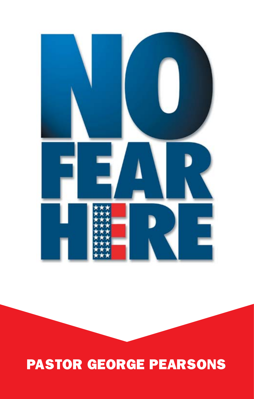# PASTOR GEORGE PEARSONS

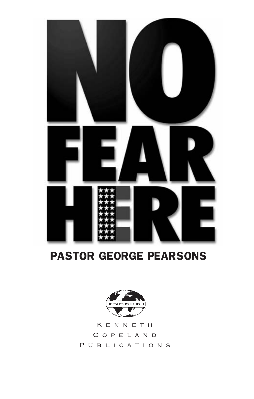

# PASTOR GEORGE PEARSONS



Kenneth Copeland PUBLICATIONS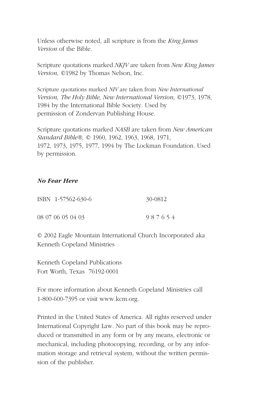Unless otherwise noted, all scripture is from the *King James Version* of the Bible.

Scripture quotations marked *NKJV* are taken from *New King James Version,* ©1982 by Thomas Nelson, Inc.

Scripture quotations marked *NIV* are taken from *New International Version, The Holy Bible, New International Version,* ©1973, 1978, 1984 by the International Bible Society. Used by permission of Zondervan Publishing House.

Scripture quotations marked *NASB* are taken from *New American Standard Bible®,* © 1960, 1962, 1963, 1968, 1971, 1972, 1973, 1975, 1977, 1994 by The Lockman Foundation. Used by permission.

#### *No Fear Here*

| ISBN 1-57562-630-6 | 30-0812 |
|--------------------|---------|
| 08 07 06 05 04 03  | 987654  |

© 2002 Eagle Mountain International Church Incorporated aka Kenneth Copeland Ministries

Kenneth Copeland Publications Fort Worth, Texas 76192-0001

For more information about Kenneth Copeland Ministries call 1-800-600-7395 or visit www.kcm.org.

Printed in the United States of America. All rights reserved under International Copyright Law. No part of this book may be reproduced or transmitted in any form or by any means, electronic or mechanical, including photocopying, recording, or by any information storage and retrieval system, without the written permission of the publisher.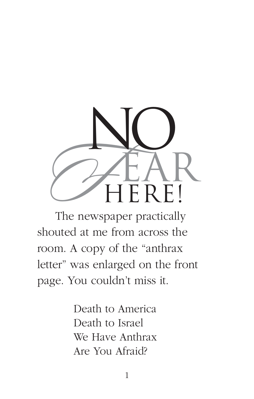

The newspaper practically shouted at me from across the room. A copy of the "anthrax letter" was enlarged on the front page. You couldn't miss it.

> Death to America Death to Israel We Have Anthrax Are You Afraid?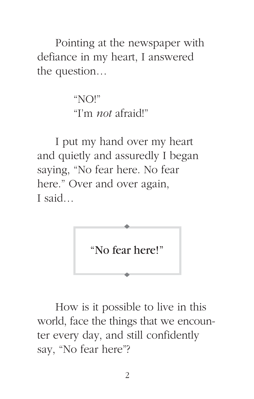Pointing at the newspaper with defiance in my heart, I answered the question…

> " $NQ$ !" "I'm *not* afraid!"

I put my hand over my heart and quietly and assuredly I began saying, "No fear here. No fear here." Over and over again, I said…



How is it possible to live in this world, face the things that we encounter every day, and still confidently say, "No fear here"?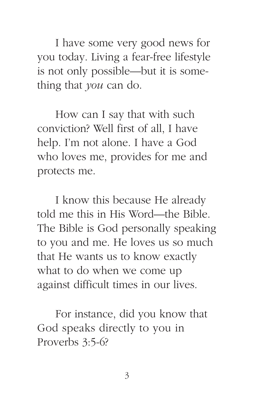I have some very good news for you today. Living a fear-free lifestyle is not only possible—but it is something that *you* can do.

How can I say that with such conviction? Well first of all, I have help. I'm not alone. I have a God who loves me, provides for me and protects me.

I know this because He already told me this in His Word—the Bible. The Bible is God personally speaking to you and me. He loves us so much that He wants us to know exactly what to do when we come up against difficult times in our lives.

For instance, did you know that God speaks directly to you in Proverbs 3:5-6?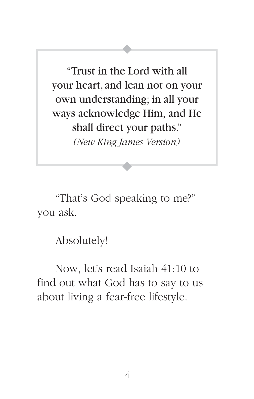"Trust in the Lord with all your heart, and lean not on your own understanding; in all your ways acknowledge Him, and He shall direct your paths." *(New King James Version)*

"That's God speaking to me?" you ask.

Absolutely!

Now, let's read Isaiah 41:10 to find out what God has to say to us about living a fear-free lifestyle.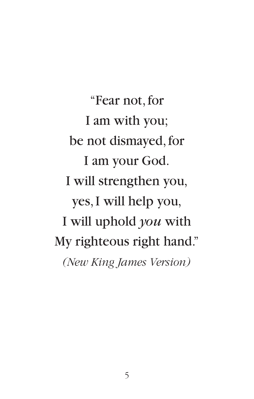"Fear not, for I am with you; be not dismayed, for I am your God. I will strengthen you, yes, I will help you, I will uphold *you* with My righteous right hand." *(New King James Version)*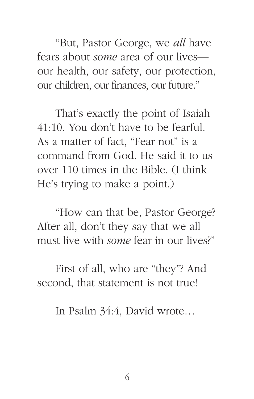"But, Pastor George, we *all* have fears about *some* area of our lives our health, our safety, our protection, our children, our finances, our future."

That's exactly the point of Isaiah 41:10. You don't have to be fearful. As a matter of fact, "Fear not" is a command from God. He said it to us over 110 times in the Bible. (I think He's trying to make a point.)

"How can that be, Pastor George? After all, don't they say that we all must live with *some* fear in our lives?"

First of all, who are "they"? And second, that statement is not true!

In Psalm 34:4, David wrote…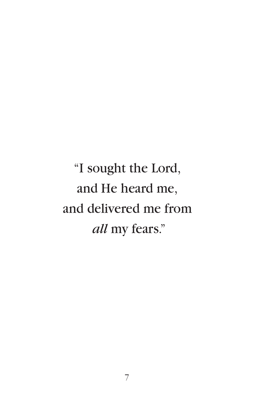"I sought the Lord, and He heard me, and delivered me from *all* my fears."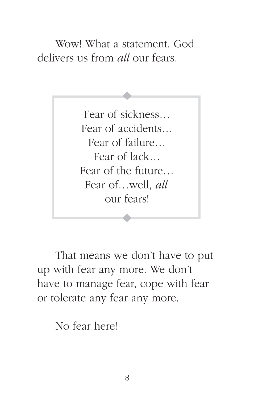Wow! What a statement. God delivers us from *all* our fears.

> Fear of sickness… Fear of accidents… Fear of failure… Fear of lack… Fear of the future… Fear of…well, *all*  our fears!

That means we don't have to put up with fear any more. We don't have to manage fear, cope with fear or tolerate any fear any more.

No fear here!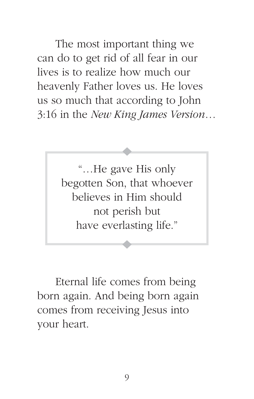The most important thing we can do to get rid of all fear in our lives is to realize how much our heavenly Father loves us. He loves us so much that according to John 3:16 in the *New King James Version*…

> "…He gave His only begotten Son, that whoever believes in Him should not perish but have everlasting life."

Eternal life comes from being born again. And being born again comes from receiving Jesus into your heart.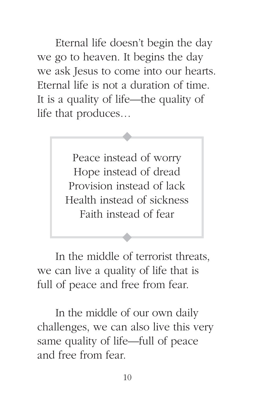Eternal life doesn't begin the day we go to heaven. It begins the day we ask Jesus to come into our hearts. Eternal life is not a duration of time. It is a quality of life—the quality of life that produces…

> Peace instead of worry Hope instead of dread Provision instead of lack Health instead of sickness Faith instead of fear

In the middle of terrorist threats, we can live a quality of life that is full of peace and free from fear.

In the middle of our own daily challenges, we can also live this very same quality of life—full of peace and free from fear.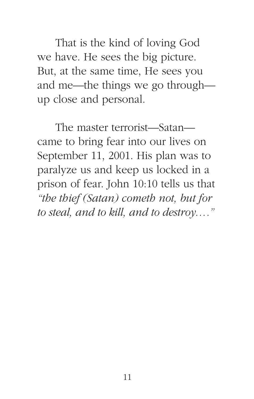That is the kind of loving God we have. He sees the big picture. But, at the same time, He sees you and me—the things we go through up close and personal.

The master terrorist—Satan came to bring fear into our lives on September 11, 2001. His plan was to paralyze us and keep us locked in a prison of fear. John 10:10 tells us that *"the thief (Satan) cometh not, but for to steal, and to kill, and to destroy…."*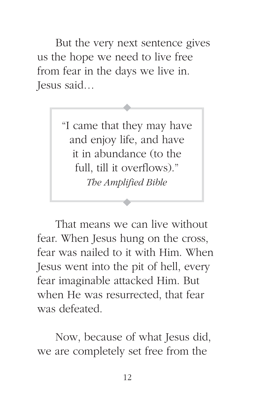But the very next sentence gives us the hope we need to live free from fear in the days we live in. Jesus said…

> "I came that they may have and enjoy life, and have it in abundance (to the full, till it overflows)." *The Amplified Bible*

That means we can live without fear. When Jesus hung on the cross, fear was nailed to it with Him. When Jesus went into the pit of hell, every fear imaginable attacked Him. But when He was resurrected, that fear was defeated.

Now, because of what Jesus did, we are completely set free from the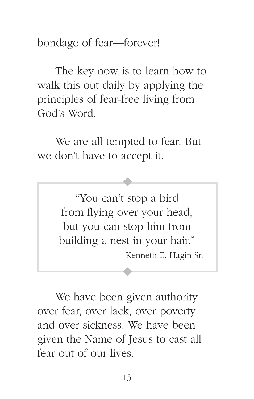bondage of fear—forever!

The key now is to learn how to walk this out daily by applying the principles of fear-free living from God's Word.

We are all tempted to fear. But we don't have to accept it.

> "You can't stop a bird from flying over your head, but you can stop him from building a nest in your hair." —Kenneth E. Hagin Sr.

We have been given authority over fear, over lack, over poverty and over sickness. We have been given the Name of Jesus to cast all fear out of our lives.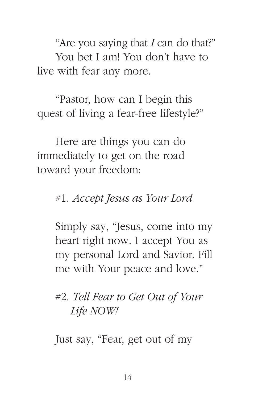"Are you saying that *I* can do that?" You bet I am! You don't have to live with fear any more.

"Pastor, how can I begin this quest of living a fear-free lifestyle?"

Here are things you can do immediately to get on the road toward your freedom:

### #1. *Accept Jesus as Your Lord*

Simply say, "Jesus, come into my heart right now. I accept You as my personal Lord and Savior. Fill me with Your peace and love."

# #2. *Tell Fear to Get Out of Your Life NOW!*

Just say, "Fear, get out of my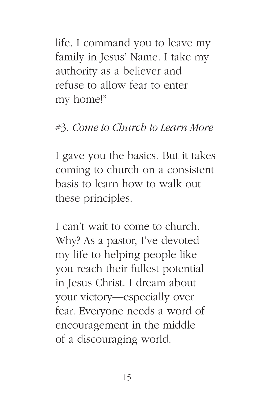life. I command you to leave my family in Jesus' Name. I take my authority as a believer and refuse to allow fear to enter my home!"

# #3. *Come to Church to Learn More*

I gave you the basics. But it takes coming to church on a consistent basis to learn how to walk out these principles.

I can't wait to come to church. Why? As a pastor, I've devoted my life to helping people like you reach their fullest potential in Jesus Christ. I dream about your victory—especially over fear. Everyone needs a word of encouragement in the middle of a discouraging world.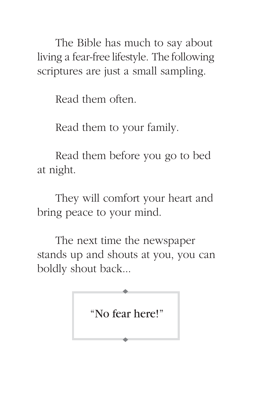The Bible has much to say about living a fear-free lifestyle. The following scriptures are just a small sampling.

Read them often.

Read them to your family.

Read them before you go to bed at night.

They will comfort your heart and bring peace to your mind.

The next time the newspaper stands up and shouts at you, you can boldly shout back...

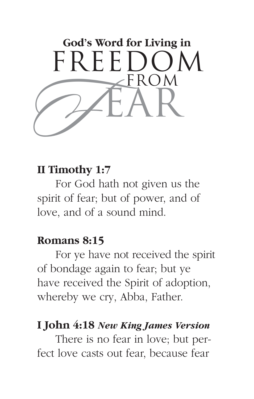

# **II Timothy 1:7**

For God hath not given us the spirit of fear; but of power, and of love, and of a sound mind.

#### **Romans 8:15**

For ye have not received the spirit of bondage again to fear; but ye have received the Spirit of adoption, whereby we cry, Abba, Father.

### **I John 4:18** *New King James Version*

There is no fear in love; but perfect love casts out fear, because fear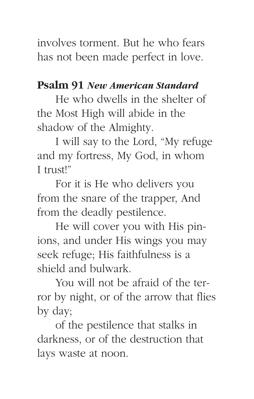involves torment. But he who fears has not been made perfect in love.

# **Psalm 91** *New American Standard*

He who dwells in the shelter of the Most High will abide in the shadow of the Almighty.

I will say to the Lord, "My refuge and my fortress, My God, in whom I trust!"

For it is He who delivers you from the snare of the trapper, And from the deadly pestilence.

He will cover you with His pinions, and under His wings you may seek refuge; His faithfulness is a shield and bulwark.

You will not be afraid of the terror by night, or of the arrow that flies by day;

of the pestilence that stalks in darkness, or of the destruction that lays waste at noon.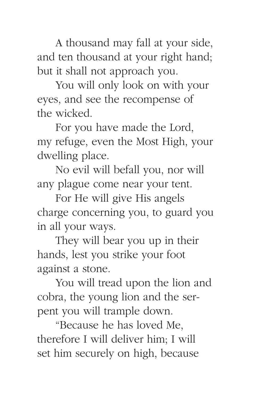A thousand may fall at your side, and ten thousand at your right hand; but it shall not approach you.

You will only look on with your eyes, and see the recompense of the wicked.

For you have made the Lord, my refuge, even the Most High, your dwelling place.

No evil will befall you, nor will any plague come near your tent.

For He will give His angels charge concerning you, to guard you in all your ways.

They will bear you up in their hands, lest you strike your foot against a stone.

You will tread upon the lion and cobra, the young lion and the serpent you will trample down.

"Because he has loved Me, therefore I will deliver him; I will set him securely on high, because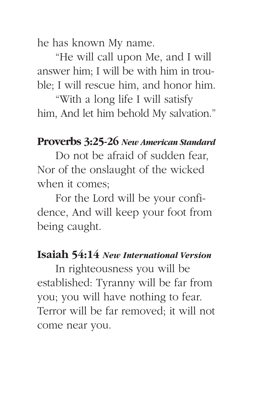he has known My name.

"He will call upon Me, and I will answer him; I will be with him in trouble; I will rescue him, and honor him.

"With a long life I will satisfy him, And let him behold My salvation."

# **Proverbs 3:25-26** *New American Standard*

Do not be afraid of sudden fear, Nor of the onslaught of the wicked when it comes;

For the Lord will be your confidence, And will keep your foot from being caught.

#### **Isaiah 54:14** *New International Version*

In righteousness you will be established: Tyranny will be far from you; you will have nothing to fear. Terror will be far removed; it will not come near you.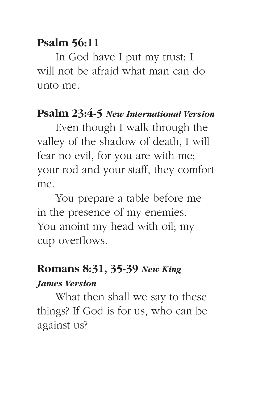# **Psalm 56:11**

In God have I put my trust: I will not be afraid what man can do unto me.

# **Psalm 23:4-5** *New International Version*

Even though I walk through the valley of the shadow of death, I will fear no evil, for you are with me; your rod and your staff, they comfort me.

You prepare a table before me in the presence of my enemies. You anoint my head with oil; my cup overflows.

### **Romans 8:31, 35-39** *New King*

#### *James Version*

What then shall we say to these things? If God is for us, who can be against us?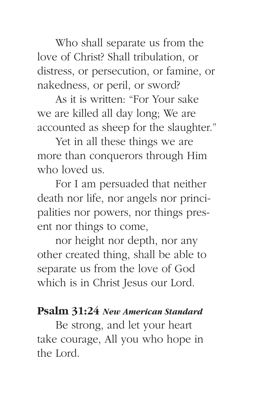Who shall separate us from the love of Christ? Shall tribulation, or distress, or persecution, or famine, or nakedness, or peril, or sword?

As it is written: "For Your sake we are killed all day long; We are accounted as sheep for the slaughter."

Yet in all these things we are more than conquerors through Him who loved us.

For I am persuaded that neither death nor life, nor angels nor principalities nor powers, nor things present nor things to come,

nor height nor depth, nor any other created thing, shall be able to separate us from the love of God which is in Christ Jesus our Lord.

#### **Psalm 31:24** *New American Standard*

Be strong, and let your heart take courage, All you who hope in the Lord.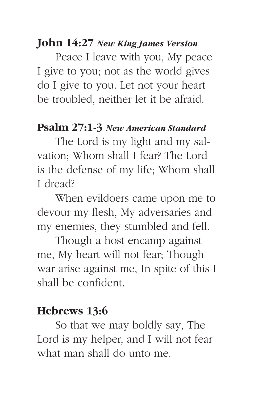#### **John 14:27** *New King James Version*

Peace I leave with you, My peace I give to you; not as the world gives do I give to you. Let not your heart be troubled, neither let it be afraid.

#### **Psalm 27:1-3** *New American Standard*

The Lord is my light and my salvation; Whom shall I fear? The Lord is the defense of my life; Whom shall I dread?

When evildoers came upon me to devour my flesh, My adversaries and my enemies, they stumbled and fell.

Though a host encamp against me, My heart will not fear; Though war arise against me, In spite of this I shall be confident.

#### **Hebrews 13:6**

So that we may boldly say, The Lord is my helper, and I will not fear what man shall do unto me.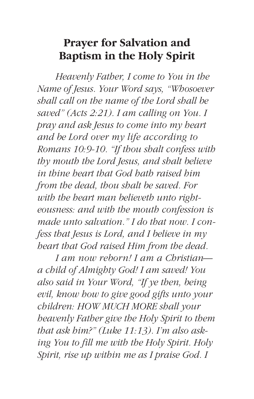# **Prayer for Salvation and Baptism in the Holy Spirit**

*Heavenly Father, I come to You in the Name of Jesus. Your Word says, "Whosoever shall call on the name of the Lord shall be saved" (Acts 2:21). I am calling on You. I pray and ask Jesus to come into my heart and be Lord over my life according to Romans 10:9-10. "If thou shalt confess with thy mouth the Lord Jesus, and shalt believe in thine heart that God hath raised him from the dead, thou shalt be saved. For with the heart man believeth unto righteousness: and with the mouth confession is made unto salvation." I do that now. I confess that Jesus is Lord, and I believe in my heart that God raised Him from the dead.*

*I am now reborn! I am a Christian a child of Almighty God! I am saved! You also said in Your Word, "If ye then, being evil, know how to give good gifts unto your children: HOW MUCH MORE shall your heavenly Father give the Holy Spirit to them that ask him?" (Luke 11:13). I'm also asking You to fill me with the Holy Spirit. Holy Spirit, rise up within me as I praise God. I*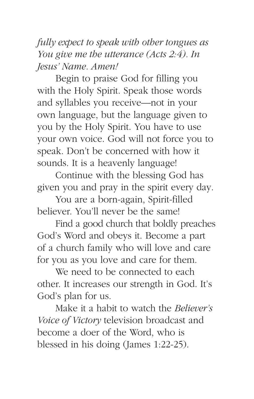*fully expect to speak with other tongues as You give me the utterance (Acts 2:4). In Jesus' Name. Amen!*

Begin to praise God for filling you with the Holy Spirit. Speak those words and syllables you receive—not in your own language, but the language given to you by the Holy Spirit. You have to use your own voice. God will not force you to speak. Don't be concerned with how it sounds. It is a heavenly language!

Continue with the blessing God has given you and pray in the spirit every day.

You are a born-again, Spirit-filled believer. You'll never be the same!

Find a good church that boldly preaches God's Word and obeys it. Become a part of a church family who will love and care for you as you love and care for them.

We need to be connected to each other. It increases our strength in God. It's God's plan for us.

Make it a habit to watch the *Believer's Voice of Victory* television broadcast and become a doer of the Word, who is blessed in his doing (James 1:22-25).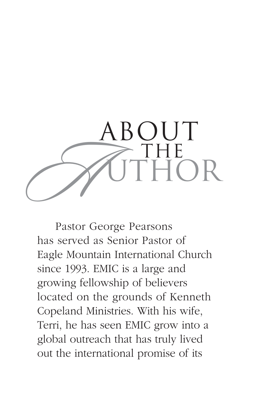

Pastor George Pearsons has served as Senior Pastor of Eagle Mountain International Church since 1993. EMIC is a large and growing fellowship of believers located on the grounds of Kenneth Copeland Ministries. With his wife, Terri, he has seen EMIC grow into a global outreach that has truly lived out the international promise of its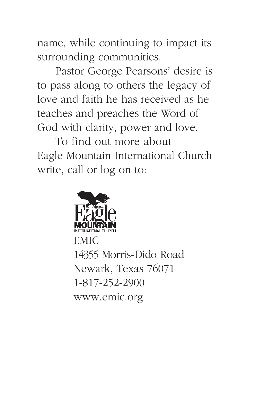name, while continuing to impact its surrounding communities.

Pastor George Pearsons' desire is to pass along to others the legacy of love and faith he has received as he teaches and preaches the Word of God with clarity, power and love.

To find out more about Eagle Mountain International Church write, call or log on to:



www.emic.org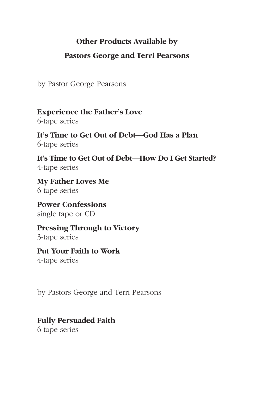#### **Other Products Available by**

#### **Pastors George and Terri Pearsons**

by Pastor George Pearsons

**Experience the Father's Love** 6-tape series

**It's Time to Get Out of Debt—God Has a Plan** 6-tape series

**It's Time to Get Out of Debt—How Do I Get Started?** 4-tape series

**My Father Loves Me** 6-tape series

**Power Confessions** single tape or CD

**Pressing Through to Victory** 3-tape series

**Put Your Faith to Work** 4-tape series

by Pastors George and Terri Pearsons

#### **Fully Persuaded Faith**

6-tape series